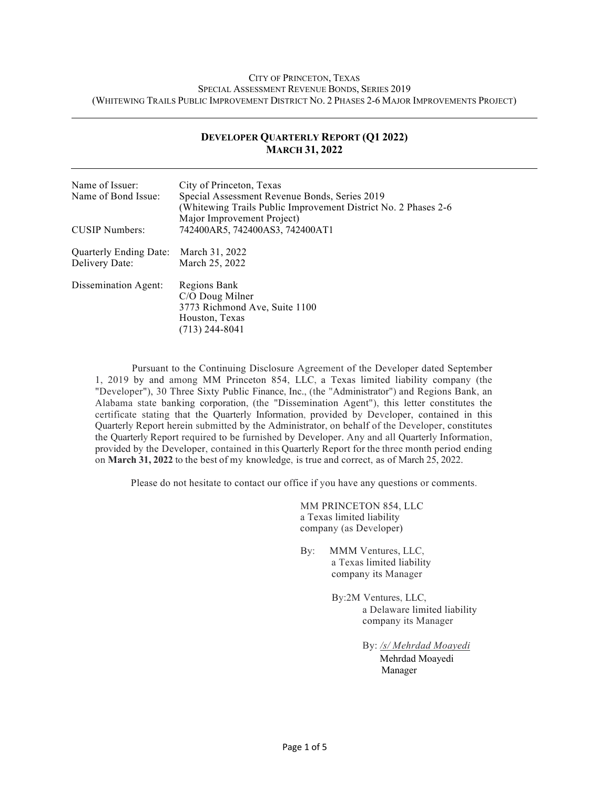#### CITY OF PRINCETON, TEXAS SPECIAL ASSESSMENT REVENUE BONDS, SERIES 2019 (WHITEWING TRAILS PUBLIC IMPROVEMENT DISTRICT NO. 2 PHASES 2-6 MAJOR IMPROVEMENTS PROJECT)

| <b>MARCH 31, 2022</b>  |                                                                                                                                                |  |  |
|------------------------|------------------------------------------------------------------------------------------------------------------------------------------------|--|--|
| Name of Issuer:        | City of Princeton, Texas                                                                                                                       |  |  |
| Name of Bond Issue:    | Special Assessment Revenue Bonds, Series 2019<br>(Whitewing Trails Public Improvement District No. 2 Phases 2-6)<br>Major Improvement Project) |  |  |
| <b>CUSIP</b> Numbers:  | 742400AR5, 742400AS3, 742400AT1                                                                                                                |  |  |
| Quarterly Ending Date: | March 31, 2022                                                                                                                                 |  |  |
| Delivery Date:         | March 25, 2022                                                                                                                                 |  |  |
| Dissemination Agent:   | Regions Bank                                                                                                                                   |  |  |
|                        | C/O Doug Milner                                                                                                                                |  |  |
|                        | 3773 Richmond Ave, Suite 1100                                                                                                                  |  |  |
|                        | Houston, Texas                                                                                                                                 |  |  |
|                        | $(713)$ 244-8041                                                                                                                               |  |  |

#### **DEVELOPER QUARTERLY REPORT (Q1 2022) MARCH 31, 2022**

Pursuant to the Continuing Disclosure Agreement of the Developer dated September 1, 2019 by and among MM Princeton 854, LLC, a Texas limited liability company (the "Developer"), 30 Three Sixty Public Finance, Inc., (the "Administrator") and Regions Bank, an Alabama state banking corporation, (the "Dissemination Agent"), this letter constitutes the certificate stating that the Quarterly Information, provided by Developer, contained in this Quarterly Report herein submitted by the Administrator, on behalf of the Developer, constitutes the Quarterly Report required to be furnished by Developer. Any and all Quarterly Information, provided by the Developer, contained in this Quarterly Report for the three month period ending on **March 31, 2022** to the best of my knowledge, is true and correct, as of March 25, 2022.

Please do not hesitate to contact our office if you have any questions or comments.

MM PRINCETON 854, LLC a Texas limited liability company (as Developer)

- By: MMM Ventures, LLC, a Texas limited liability company its Manager
	- By:2M Ventures, LLC, a Delaware limited liability company its Manager

By: */s/ Mehrdad Moayedi* Mehrdad Moayedi Manager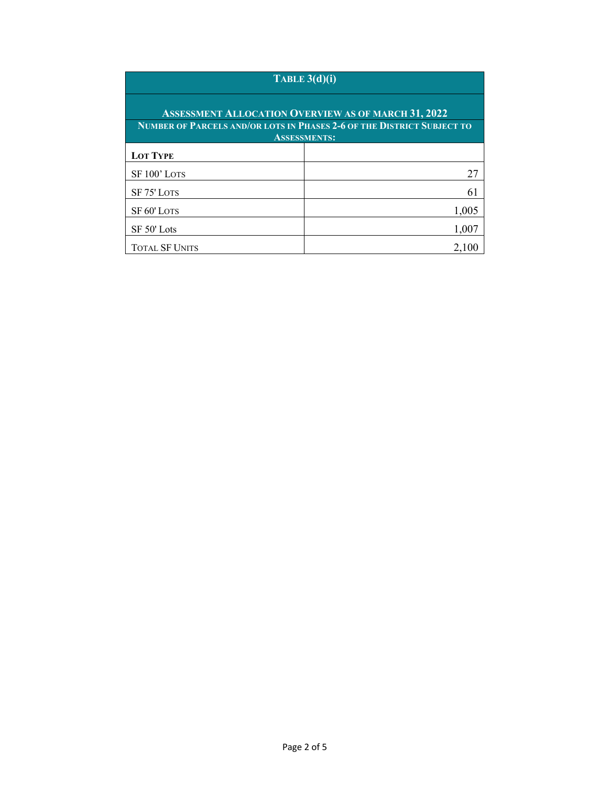# **TABLE 3(d)(i)**

| <b>ASSESSMENT ALLOCATION OVERVIEW AS OF MARCH 31, 2022</b> |                                                                        |  |  |  |  |
|------------------------------------------------------------|------------------------------------------------------------------------|--|--|--|--|
|                                                            | NUMBER OF PARCELS AND/OR LOTS IN PHASES 2-6 OF THE DISTRICT SUBJECT TO |  |  |  |  |
|                                                            | <b>ASSESSMENTS:</b>                                                    |  |  |  |  |
| <b>LOT TYPE</b>                                            |                                                                        |  |  |  |  |
| SF 100' LOTS                                               | 27                                                                     |  |  |  |  |
| SF 75' LOTS                                                | 61                                                                     |  |  |  |  |
| SF <sub>60</sub> ' LOTS                                    | 1,005                                                                  |  |  |  |  |
| SF 50' Lots                                                | 1,007                                                                  |  |  |  |  |
| <b>TOTAL SF UNITS</b>                                      |                                                                        |  |  |  |  |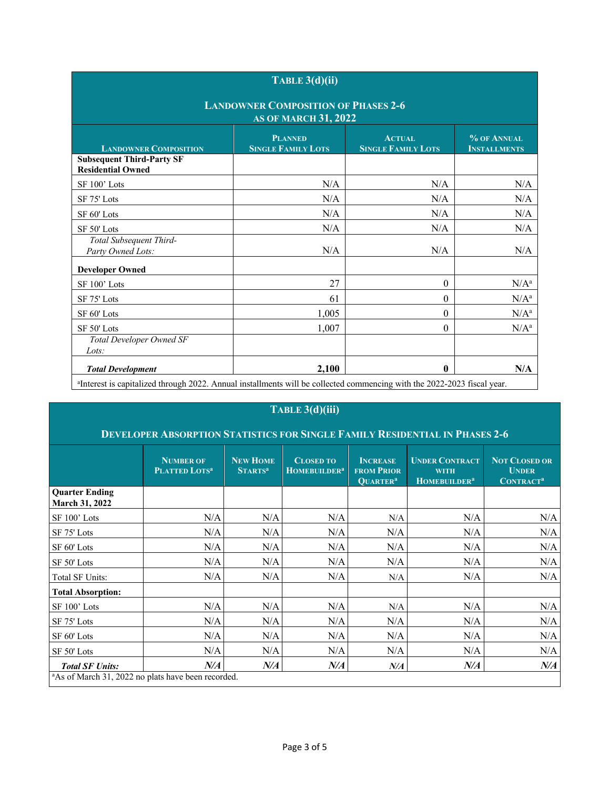|                                                                           | TABLE $3(d)(ii)$                            |                                            |                                    |  |  |  |
|---------------------------------------------------------------------------|---------------------------------------------|--------------------------------------------|------------------------------------|--|--|--|
| <b>LANDOWNER COMPOSITION OF PHASES 2-6</b><br><b>AS OF MARCH 31, 2022</b> |                                             |                                            |                                    |  |  |  |
| <b>LANDOWNER COMPOSITION</b>                                              | <b>PLANNED</b><br><b>SINGLE FAMILY LOTS</b> | <b>ACTUAL</b><br><b>SINGLE FAMILY LOTS</b> | % OF ANNUAL<br><b>INSTALLMENTS</b> |  |  |  |
| <b>Subsequent Third-Party SF</b><br><b>Residential Owned</b>              |                                             |                                            |                                    |  |  |  |
| SF 100' Lots                                                              | N/A                                         | N/A                                        | N/A                                |  |  |  |
| SF 75' Lots                                                               | N/A                                         | N/A                                        | N/A                                |  |  |  |
| SF 60' Lots                                                               | N/A                                         | N/A                                        | N/A                                |  |  |  |
| SF 50' Lots                                                               | N/A                                         | N/A                                        | N/A                                |  |  |  |
| Total Subsequent Third-<br>Party Owned Lots:                              | N/A                                         | N/A                                        | N/A                                |  |  |  |
| <b>Developer Owned</b>                                                    |                                             |                                            |                                    |  |  |  |
| SF 100' Lots                                                              | 27                                          | $\boldsymbol{0}$                           | $N/A^a$                            |  |  |  |
| SF 75' Lots                                                               | 61                                          | $\boldsymbol{0}$                           | $N/A^a$                            |  |  |  |
| SF 60' Lots                                                               | 1,005                                       | $\theta$                                   | $N/A^a$                            |  |  |  |
| SF 50' Lots                                                               | 1,007                                       | $\theta$                                   | $N/A^a$                            |  |  |  |
| Total Developer Owned SF<br>$Lots$ :                                      |                                             |                                            |                                    |  |  |  |
| <b>Total Development</b>                                                  | 2,100                                       | $\bf{0}$                                   | N/A                                |  |  |  |

## **TABLE 3(d)(iii)**

### **DEVELOPER ABSORPTION STATISTICS FOR SINGLE FAMILY RESIDENTIAL IN PHASES 2-6**

|                                                                | <b>NUMBER OF</b><br>PLATTED LOTS <sup>a</sup> | <b>NEW HOME</b><br><b>STARTS<sup>a</sup></b> | <b>CLOSED TO</b><br>HOMEBUILDER <sup>a</sup> | <b>INCREASE</b><br><b>FROM PRIOR</b><br><b>QUARTER<sup>a</sup></b> | <b>UNDER CONTRACT</b><br><b>WITH</b><br>HOMEBUILDER <sup>a</sup> | <b>NOT CLOSED OR</b><br><b>UNDER</b><br><b>CONTRACT<sup>a</sup></b> |
|----------------------------------------------------------------|-----------------------------------------------|----------------------------------------------|----------------------------------------------|--------------------------------------------------------------------|------------------------------------------------------------------|---------------------------------------------------------------------|
| <b>Quarter Ending</b><br><b>March 31, 2022</b>                 |                                               |                                              |                                              |                                                                    |                                                                  |                                                                     |
| SF 100' Lots                                                   | N/A                                           | N/A                                          | N/A                                          | N/A                                                                | N/A                                                              | N/A                                                                 |
| SF 75' Lots                                                    | N/A                                           | N/A                                          | N/A                                          | N/A                                                                | N/A                                                              | N/A                                                                 |
| SF 60' Lots                                                    | N/A                                           | N/A                                          | N/A                                          | N/A                                                                | N/A                                                              | N/A                                                                 |
| SF 50' Lots                                                    | N/A                                           | N/A                                          | N/A                                          | N/A                                                                | N/A                                                              | N/A                                                                 |
| Total SF Units:                                                | N/A                                           | N/A                                          | N/A                                          | N/A                                                                | N/A                                                              | N/A                                                                 |
| <b>Total Absorption:</b>                                       |                                               |                                              |                                              |                                                                    |                                                                  |                                                                     |
| SF 100' Lots                                                   | N/A                                           | N/A                                          | N/A                                          | N/A                                                                | N/A                                                              | N/A                                                                 |
| SF 75' Lots                                                    | N/A                                           | N/A                                          | N/A                                          | N/A                                                                | N/A                                                              | N/A                                                                 |
| SF 60' Lots                                                    | N/A                                           | N/A                                          | N/A                                          | N/A                                                                | N/A                                                              | N/A                                                                 |
| SF 50' Lots                                                    | N/A                                           | N/A                                          | N/A                                          | N/A                                                                | N/A                                                              | N/A                                                                 |
| <b>Total SF Units:</b>                                         | N/A                                           | N/A                                          | N/A                                          | N/A                                                                | $N\!/\!A$                                                        | $N\!/\!A$                                                           |
| <sup>a</sup> As of March 31, 2022 no plats have been recorded. |                                               |                                              |                                              |                                                                    |                                                                  |                                                                     |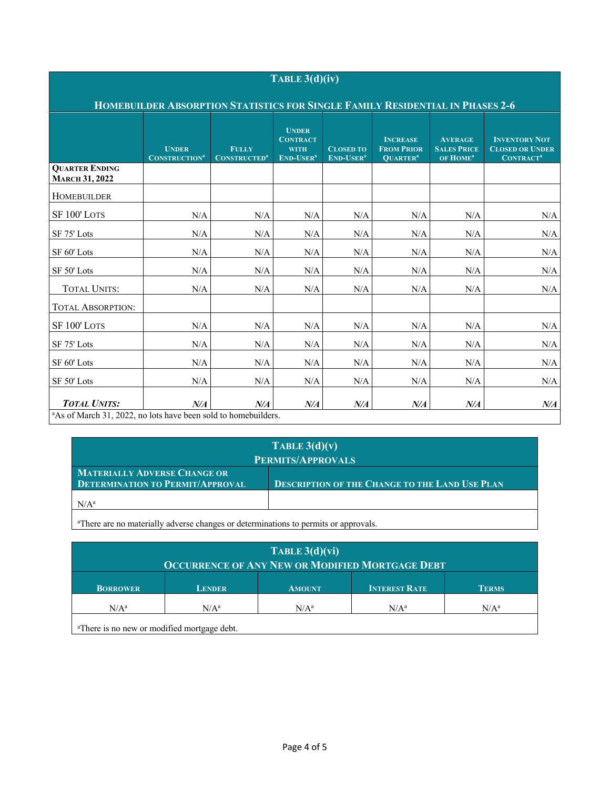| TABLE $3(d)(iv)$<br>HOMEBUILDER ABSORPTION STATISTICS FOR SINGLE FAMILY RESIDENTIAL IN PHASES 2-6 |     |     |     |     |     |     |     |
|---------------------------------------------------------------------------------------------------|-----|-----|-----|-----|-----|-----|-----|
|                                                                                                   |     |     |     |     |     |     |     |
| <b>QUARTER ENDING</b><br><b>MARCH 31, 2022</b>                                                    |     |     |     |     |     |     |     |
| HOMEBUILDER                                                                                       |     |     |     |     |     |     |     |
| SF 100' LOTS                                                                                      | N/A | N/A | N/A | N/A | N/A | N/A | N/A |
| SF 75' Lots                                                                                       | N/A | N/A | N/A | N/A | N/A | N/A | N/A |
| SF 60' Lots                                                                                       | N/A | N/A | N/A | N/A | N/A | N/A | N/A |
| SF 50' Lots                                                                                       | N/A | N/A | N/A | N/A | N/A | N/A | N/A |
| <b>TOTAL UNITS:</b>                                                                               | N/A | N/A | N/A | N/A | N/A | N/A | N/A |
| <b>TOTAL ABSORPTION:</b>                                                                          |     |     |     |     |     |     |     |
| SF <sub>100</sub> ' LOTS                                                                          | N/A | N/A | N/A | N/A | N/A | N/A | N/A |
| SF 75' Lots                                                                                       | N/A | N/A | N/A | N/A | N/A | N/A | N/A |
| SF 60' Lots                                                                                       | N/A | N/A | N/A | N/A | N/A | N/A | N/A |
| SF 50' Lots                                                                                       | N/A | N/A | N/A | N/A | N/A | N/A | N/A |
| <b>TOTAL UNITS:</b><br><sup>a</sup> As of March 31, 2022, no lots have been sold to homebuilders. | N/A | N/A | N/A | N/A | N/A | N/A | N/A |

| TABLE $3(d)(v)$                                                                |                                                       |  |  |  |
|--------------------------------------------------------------------------------|-------------------------------------------------------|--|--|--|
| PERMITS/APPROVALS                                                              |                                                       |  |  |  |
| <b>MATERIALLY ADVERSE CHANGE OR</b><br><b>DETERMINATION TO PERMIT/APPROVAL</b> | <b>DESCRIPTION OF THE CHANGE TO THE LAND USE PLAN</b> |  |  |  |
| $N/A^a$                                                                        |                                                       |  |  |  |

<sup>a</sup>There are no materially adverse changes or determinations to permits or approvals.

| TABLE $3(d)(vi)$<br>OCCURRENCE OF ANY NEW OR MODIFIED MORTGAGE DEBT |               |                  |                      |              |  |
|---------------------------------------------------------------------|---------------|------------------|----------------------|--------------|--|
| <b>BORROWER</b>                                                     | <b>LENDER</b> | <b>AMOUNT</b>    | <b>INTEREST RATE</b> | <b>TERMS</b> |  |
| $N/A^a$                                                             | $N/A^a$       | N/A <sup>a</sup> | $N/A^a$              | $N/A^a$      |  |
| <sup>a</sup> There is no new or modified mortgage debt.             |               |                  |                      |              |  |